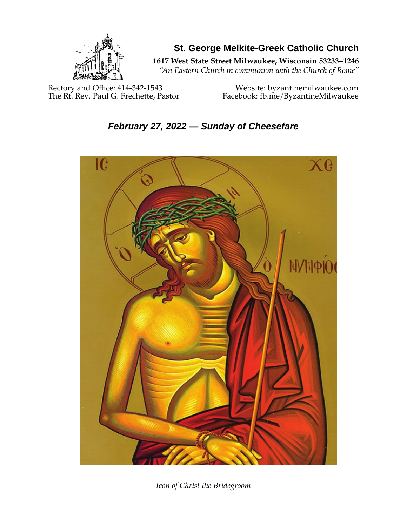

**St. George Melkite-Greek Catholic Church**

**1617 West State Street Milwaukee, Wisconsin 53233–1246**

*"An Eastern Church in communion with the Church of Rome"*

Rectory and Office: 414-342-1543 Website: [byzantinemilwaukee.com](https://byzantinemilwaukee.com/)

The Rt. Rev. Paul G. Frechette, Pastor Facebook: fb.me/ByzantineMilwaukee

# *February 27, 2022 — Sunday of Cheesefare*



*Icon of Christ the Bridegroom*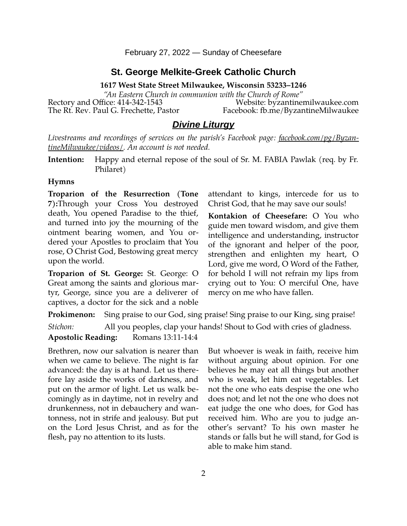February 27, 2022 — Sunday of Cheesefare

#### **St. George Melkite-Greek Catholic Church**

**1617 West State Street Milwaukee, Wisconsin 53233–1246**

*"An Eastern Church in communion with the Church of Rome"* Rectory and Office: 414-342-1543 Website: [byzantinemilwaukee.com](https://byzantinemilwaukee.com/) The Rt. Rev. Paul G. Frechette, Pastor Facebook: fb.me/ByzantineMilwaukee

#### *Divine Liturgy*

*Livestreams and recordings of services on the parish's Facebook page: [facebook.com/pg/Byzan](https://www.facebook.com/pg/ByzantineMilwaukee/videos/)[tineMilwaukee/videos/.](https://www.facebook.com/pg/ByzantineMilwaukee/videos/) An account is not needed.*

**Intention:** Happy and eternal repose of the soul of Sr. M. FABIA Pawlak (req. by Fr. Philaret)

#### **Hymns**

**Troparion of the Resurrection (Tone 7):**Through your Cross You destroyed death, You opened Paradise to the thief, and turned into joy the mourning of the ointment bearing women, and You ordered your Apostles to proclaim that You rose, O Christ God, Bestowing great mercy upon the world.

**Troparion of St. George:** St. George: O Great among the saints and glorious martyr, George, since you are a deliverer of captives, a doctor for the sick and a noble attendant to kings, intercede for us to Christ God, that he may save our souls!

**Kontakion of Cheesefare:** O You who guide men toward wisdom, and give them intelligence and understanding, instructor of the ignorant and helper of the poor, strengthen and enlighten my heart, O Lord, give me word, O Word of the Father, for behold I will not refrain my lips from crying out to You: O merciful One, have mercy on me who have fallen.

**Prokimenon:** Sing praise to our God, sing praise! Sing praise to our King, sing praise!

*Stichon:* All you peoples, clap your hands! Shout to God with cries of gladness.

**Apostolic Reading:** Romans 13:11-14:4

Brethren, now our salvation is nearer than when we came to believe. The night is far advanced: the day is at hand. Let us therefore lay aside the works of darkness, and put on the armor of light. Let us walk becomingly as in daytime, not in revelry and drunkenness, not in debauchery and wantonness, not in strife and jealousy. But put on the Lord Jesus Christ, and as for the flesh, pay no attention to its lusts.

But whoever is weak in faith, receive him without arguing about opinion. For one believes he may eat all things but another who is weak, let him eat vegetables. Let not the one who eats despise the one who does not; and let not the one who does not eat judge the one who does, for God has received him. Who are you to judge another's servant? To his own master he stands or falls but he will stand, for God is able to make him stand.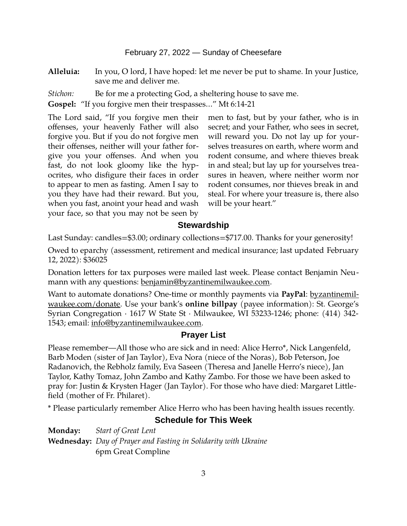#### February 27, 2022 — Sunday of Cheesefare

**Alleluia:** In you, O lord, I have hoped: let me never be put to shame. In your Justice, save me and deliver me.

*Stichon:* Be for me a protecting God, a sheltering house to save me.

**Gospel:** "If you forgive men their trespasses…" Mt 6:14-21

The Lord said, "If you forgive men their offenses, your heavenly Father will also forgive you. But if you do not forgive men their offenses, neither will your father forgive you your offenses. And when you fast, do not look gloomy like the hypocrites, who disfigure their faces in order to appear to men as fasting. Amen I say to you they have had their reward. But you, when you fast, anoint your head and wash your face, so that you may not be seen by

men to fast, but by your father, who is in secret; and your Father, who sees in secret, will reward you. Do not lay up for yourselves treasures on earth, where worm and rodent consume, and where thieves break in and steal; but lay up for yourselves treasures in heaven, where neither worm nor rodent consumes, nor thieves break in and steal. For where your treasure is, there also will be your heart."

### **Stewardship**

Last Sunday: candles=\$3.00; ordinary collections=\$717.00. Thanks for your generosity!

Owed to eparchy (assessment, retirement and medical insurance; last updated February 12, 2022): \$36025

Donation letters for tax purposes were mailed last week. Please contact Benjamin Neumann with any questions: [benjamin@byzantinemilwaukee.com](mailto:benjamin@byzantinemilwaukee.com).

Want to automate donations? One-time or monthly payments via **PayPal**: [byzantinemil](https://byzantinemilwaukee.com/donate/)[waukee.com/donate.](https://byzantinemilwaukee.com/donate/) Use your bank's **online billpay** (payee information): St. George's Syrian Congregation · 1617 W State St · Milwaukee, WI 53233-1246; phone: (414) 342- 1543; email: [info@byzantinemilwaukee.com](mailto:info@byzantinemilwaukee.com).

### **Prayer List**

Please remember—All those who are sick and in need: Alice Herro\*, Nick Langenfeld, Barb Moden (sister of Jan Taylor), Eva Nora (niece of the Noras), Bob Peterson, Joe Radanovich, the Rebholz family, Eva Saseen (Theresa and Janelle Herro's niece), Jan Taylor, Kathy Tomaz, John Zambo and Kathy Zambo. For those we have been asked to pray for: Justin & Krysten Hager (Jan Taylor). For those who have died: Margaret Littlefield (mother of Fr. Philaret).

\* Please particularly remember Alice Herro who has been having health issues recently.

# **Schedule for This Week**

**Monday:** *Start of Great Lent* **Wednesday:** *Day of Prayer and Fasting in Solidarity with Ukraine*  6pm Great Compline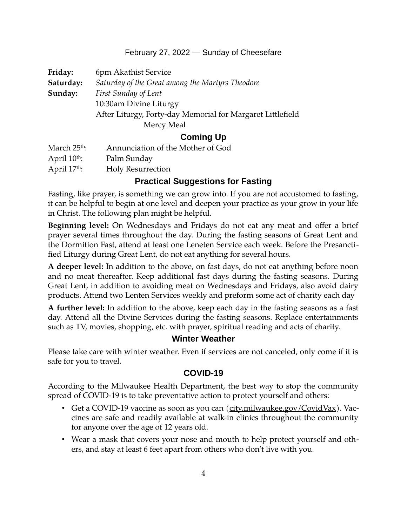### February 27, 2022 — Sunday of Cheesefare

| Friday:   | 6pm Akathist Service                                       |  |
|-----------|------------------------------------------------------------|--|
| Saturday: | Saturday of the Great among the Martyrs Theodore           |  |
| Sunday:   | First Sunday of Lent                                       |  |
|           | 10:30am Divine Liturgy                                     |  |
|           | After Liturgy, Forty-day Memorial for Margaret Littlefield |  |
|           | Mercy Meal                                                 |  |
|           |                                                            |  |

## **Coming Up**

| March 25 <sup>th</sup> : | Annunciation of the Mother of God |
|--------------------------|-----------------------------------|
| April $10^{th}$ :        | Palm Sunday                       |
| April $17th$ :           | <b>Holy Resurrection</b>          |

# **Practical Suggestions for Fasting**

Fasting, like prayer, is something we can grow into. If you are not accustomed to fasting, it can be helpful to begin at one level and deepen your practice as your grow in your life in Christ. The following plan might be helpful.

**Beginning level:** On Wednesdays and Fridays do not eat any meat and offer a brief prayer several times throughout the day. During the fasting seasons of Great Lent and the Dormition Fast, attend at least one Leneten Service each week. Before the Presanctified Liturgy during Great Lent, do not eat anything for several hours.

**A deeper level:** In addition to the above, on fast days, do not eat anything before noon and no meat thereafter. Keep additional fast days during the fasting seasons. During Great Lent, in addition to avoiding meat on Wednesdays and Fridays, also avoid dairy products. Attend two Lenten Services weekly and preform some act of charity each day

**A further level:** In addition to the above, keep each day in the fasting seasons as a fast day. Attend all the Divine Services during the fasting seasons. Replace entertainments such as TV, movies, shopping, etc. with prayer, spiritual reading and acts of charity.

# **Winter Weather**

Please take care with winter weather. Even if services are not canceled, only come if it is safe for you to travel.

# **[COVID-19](mailto:j1ordan2000@yahoo.com)**

According to the Milwaukee Health Department, the best way to stop the community spread of COVID-19 is to take preventative action to protect yourself and others:

- Get a COVID-19 vaccine as soon as you can [\(city.milwaukee.gov/CovidVax\)](https://city.milwaukee.gov/CovidVax). Vaccines are safe and readily available at walk-in clinics throughout the community for anyone over the age of 12 years old.
- Wear a mask that covers your nose and mouth to help protect yourself and others, and stay at least 6 feet apart from others who don't live with you.